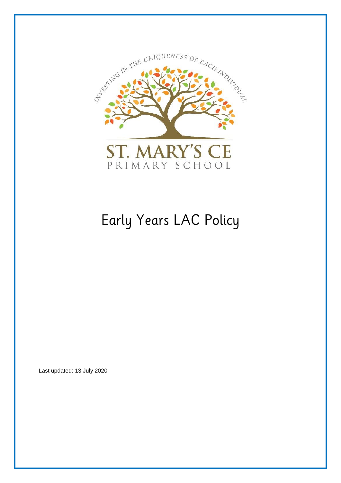

# Early Years LAC Policy

Last updated: 13 July 2020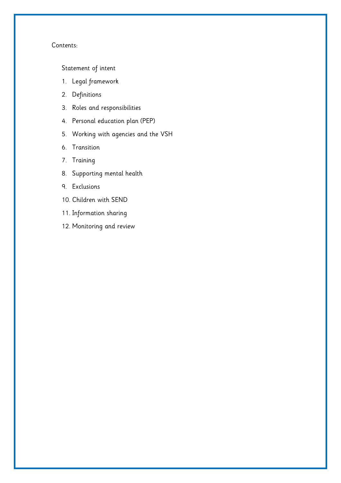## Contents:

[Statement of intent](#page-2-0)

- 1. [Legal framework](#page-3-0)
- 2. [Definitions](#page-3-1)
- 3. [Roles and responsibilities](#page-4-0)
- 4. [Personal education plan](#page-7-0) (PEP)
- 5. [Working with agencies and the VSH](#page-8-0)
- 6. [Transition](#page-9-0)
- 7. [Training](#page-9-1)
- 8. [Supporting mental health](#page-10-0)
- 9. [Exclusions](#page-11-0)
- 10. Children [with SEND](#page-11-1)
- 11. [Information sharing](#page-11-2)
- 12. [Monitoring and review](#page-12-0)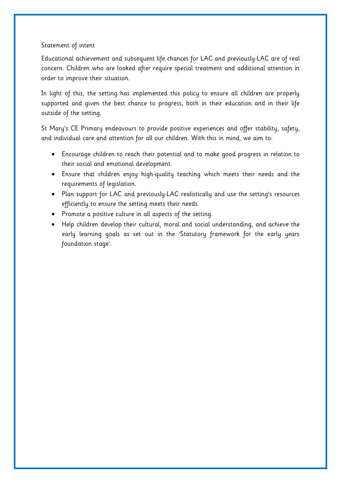## <span id="page-2-0"></span>Statement of intent

Educational achievement and subsequent life chances for LAC and previously-LAC are of real concern. Children who are looked after require special treatment and additional attention in order to improve their situation.

In light of this, the setting has implemented this policy to ensure all children are properly supported and given the best chance to progress, both in their education and in their life outside of the setting.

St Mary's CE Primary endeavours to provide positive experiences and offer stability, safety, and individual care and attention for all our children. With this in mind, we aim to:

- Encourage children to reach their potential and to make good progress in relation to their social and emotional development.
- Ensure that children enjoy high-quality teaching which meets their needs and the requirements of legislation.
- Plan support for LAC and previously-LAC realistically and use the setting's resources efficiently to ensure the setting meets their needs.
- Promote a positive culture in all aspects of the setting.
- Help children develop their cultural, moral and social understanding, and achieve the early learning goals as set out in the 'Statutory framework for the early years foundation stage'.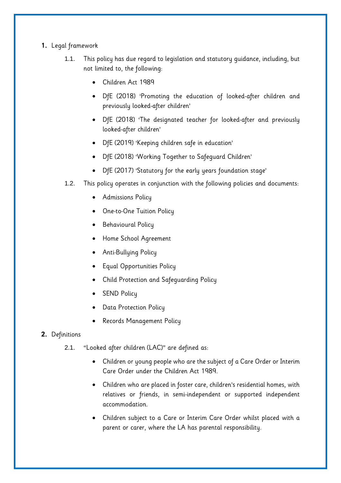## <span id="page-3-1"></span><span id="page-3-0"></span>**1.** Legal framework

- 1.1. This policy has due regard to legislation and statutory guidance, including, but not limited to, the following:
	- Children Act 1989
	- DfE (2018) 'Promoting the education of looked-after children and previously looked-after children'
	- DfE (2018) 'The designated teacher for looked-after and previously looked-after children'
	- DfE (2019) 'Keeping children safe in education'
	- DfE (2018) 'Working Together to Safeguard Children'
	- DfE (2017) 'Statutory for the early years foundation stage'
- 1.2. This policy operates in conjunction with the following policies and documents:
	- **•** Admissions Policy
	- One-to-One Tuition Policy
	- **•** Behavioural Policy
	- Home School Agreement
	- Anti-Bullying Policy
	- Equal Opportunities Policy
	- Child Protection and Safeguarding Policy
	- SEND Policy
	- Data Protection Policy
	- Records Management Policy

## **2.** Definitions

- 2.1. "Looked after children (LAC)" are defined as:
	- Children or young people who are the subject of a Care Order or Interim Care Order under the Children Act 1989.
	- Children who are placed in foster care, children's residential homes, with relatives or friends, in semi-independent or supported independent accommodation.
	- Children subject to a Care or Interim Care Order whilst placed with a parent or carer, where the LA has parental responsibility.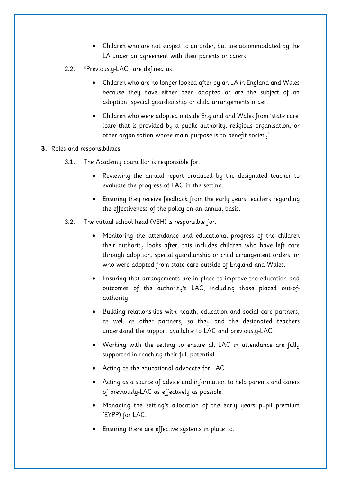- Children who are not subject to an order, but are accommodated by the LA under an agreement with their parents or carers.
- 2.2. "Previously-LAC" are defined as:
	- Children who are no longer looked after by an LA in England and Wales because they have either been adopted or are the subject of an adoption, special guardianship or child arrangements order.
	- Children who were adopted outside England and Wales from 'state care' (care that is provided by a public authority, religious organisation, or other organisation whose main purpose is to benefit society).
- <span id="page-4-0"></span>**3.** Roles and responsibilities
	- 3.1. The Academy councillor is responsible for:
		- Reviewing the annual report produced by the designated teacher to evaluate the progress of LAC in the setting.
		- Ensuring they receive feedback from the early years teachers regarding the effectiveness of the policy on an annual basis.
	- 3.2. The virtual school head (VSH) is responsible for:
		- Monitoring the attendance and educational progress of the children their authority looks after; this includes children who have left care through adoption, special guardianship or child arrangement orders, or who were adopted from state care outside of England and Wales.
		- Ensuring that arrangements are in place to improve the education and outcomes of the authority's LAC, including those placed out-ofauthority.
		- Building relationships with health, education and social care partners, as well as other partners, so they and the designated teachers understand the support available to LAC and previously-LAC.
		- Working with the setting to ensure all LAC in attendance are fully supported in reaching their full potential.
		- Acting as the educational advocate for LAC.
		- Acting as a source of advice and information to help parents and carers of previously-LAC as effectively as possible.
		- Managing the setting's allocation of the early years pupil premium (EYPP) for LAC.
		- Ensuring there are effective systems in place to: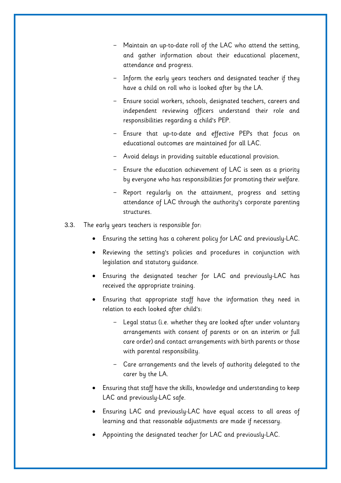- Maintain an up-to-date roll of the LAC who attend the setting, and gather information about their educational placement, attendance and progress.
- Inform the early years teachers and designated teacher if they have a child on roll who is looked after by the LA.
- Ensure social workers, schools, designated teachers, careers and independent reviewing officers understand their role and responsibilities regarding a child's PEP.
- Ensure that up-to-date and effective PEPs that focus on educational outcomes are maintained for all LAC.
- Avoid delays in providing suitable educational provision.
- Ensure the education achievement of LAC is seen as a priority by everyone who has responsibilities for promoting their welfare.
- Report regularly on the attainment, progress and setting attendance of LAC through the authority's corporate parenting structures.
- 3.3. The early years teachers is responsible for:
	- Ensuring the setting has a coherent policy for LAC and previously-LAC.
	- Reviewing the setting's policies and procedures in conjunction with legislation and statutory guidance.
	- Ensuring the designated teacher for LAC and previously-LAC has received the appropriate training.
	- Ensuring that appropriate staff have the information they need in relation to each looked after child's:
		- Legal status (i.e. whether they are looked after under voluntary arrangements with consent of parents or on an interim or full care order) and contact arrangements with birth parents or those with parental responsibility.
		- Care arrangements and the levels of authority delegated to the carer by the LA.
	- Ensuring that staff have the skills, knowledge and understanding to keep LAC and previously-LAC safe.
	- Ensuring LAC and previously-LAC have equal access to all areas of learning and that reasonable adjustments are made if necessary.
	- Appointing the designated teacher for LAC and previously-LAC.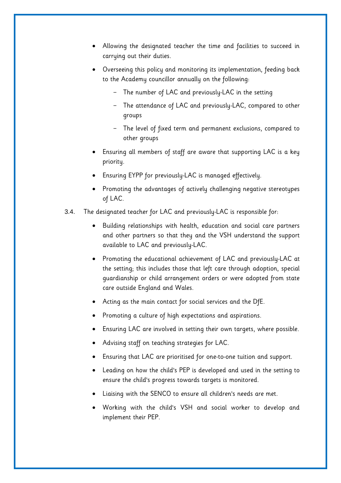- Allowing the designated teacher the time and facilities to succeed in carrying out their duties.
- Overseeing this policy and monitoring its implementation, feeding back to the Academy councillor annually on the following:
	- The number of LAC and previously-LAC in the setting
	- The attendance of LAC and previously-LAC, compared to other groups
	- The level of fixed term and permanent exclusions, compared to other groups
- Ensuring all members of staff are aware that supporting LAC is a key priority.
- Ensuring EYPP for previously-LAC is managed effectively.
- Promoting the advantages of actively challenging negative stereotypes of LAC.
- 3.4. The designated teacher for LAC and previously-LAC is responsible for:
	- Building relationships with health, education and social care partners and other partners so that they and the VSH understand the support available to LAC and previously-LAC.
	- Promoting the educational achievement of LAC and previously-LAC at the setting; this includes those that left care through adoption, special guardianship or child arrangement orders or were adopted from state care outside England and Wales.
	- Acting as the main contact for social services and the DfE.
	- Promoting a culture of high expectations and aspirations.
	- Ensuring LAC are involved in setting their own targets, where possible.
	- Advising staff on teaching strategies for LAC.
	- Ensuring that LAC are prioritised for one-to-one tuition and support.
	- Leading on how the child's PEP is developed and used in the setting to ensure the child's progress towards targets is monitored.
	- Liaising with the SENCO to ensure all children's needs are met.
	- Working with the child's VSH and social worker to develop and implement their PEP.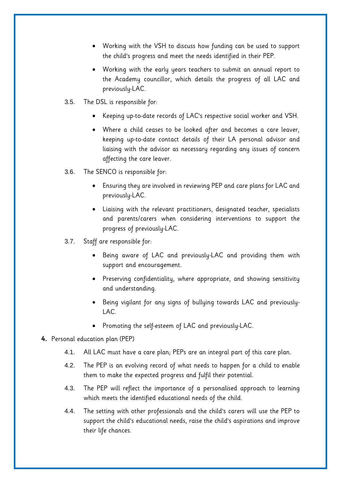- Working with the VSH to discuss how funding can be used to support the child's progress and meet the needs identified in their PEP.
- Working with the early years teachers to submit an annual report to the Academy councillor, which details the progress of all LAC and previously-LAC.
- 3.5. The DSL is responsible for:
	- Keeping up-to-date records of LAC's respective social worker and VSH.
	- Where a child ceases to be looked after and becomes a care leaver, keeping up-to-date contact details of their LA personal advisor and liaising with the advisor as necessary regarding any issues of concern affecting the care leaver.
- 3.6. The SENCO is responsible for:
	- Ensuring they are involved in reviewing PEP and care plans for LAC and previously-LAC.
	- Liaising with the relevant practitioners, designated teacher, specialists and parents/carers when considering interventions to support the progress of previously-LAC.
- 3.7. Staff are responsible for:
	- Being aware of LAC and previously-LAC and providing them with support and encouragement.
	- Preserving confidentiality, where appropriate, and showing sensitivity and understanding.
	- Being vigilant for any signs of bullying towards LAC and previously-LAC.
	- Promoting the self-esteem of LAC and previously-LAC.
- <span id="page-7-0"></span>**4.** Personal education plan (PEP)
	- 4.1. All LAC must have a care plan; PEPs are an integral part of this care plan.
	- 4.2. The PEP is an evolving record of what needs to happen for a child to enable them to make the expected progress and fulfil their potential.
	- 4.3. The PEP will reflect the importance of a personalised approach to learning which meets the identified educational needs of the child.
	- 4.4. The setting with other professionals and the child's carers will use the PEP to support the child's educational needs, raise the child's aspirations and improve their life chances.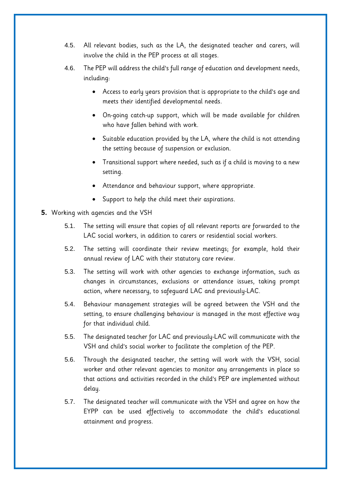- 4.5. All relevant bodies, such as the LA, the designated teacher and carers, will involve the child in the PEP process at all stages.
- 4.6. The PEP will address the child's full range of education and development needs, including:
	- Access to early years provision that is appropriate to the child's age and meets their identified developmental needs.
	- On-going catch-up support, which will be made available for children who have fallen behind with work.
	- Suitable education provided by the LA, where the child is not attending the setting because of suspension or exclusion.
	- Transitional support where needed, such as if a child is moving to a new setting.
	- Attendance and behaviour support, where appropriate.
	- Support to help the child meet their aspirations.
- <span id="page-8-0"></span>**5.** Working with agencies and the VSH
	- 5.1. The setting will ensure that copies of all relevant reports are forwarded to the LAC social workers, in addition to carers or residential social workers.
	- 5.2. The setting will coordinate their review meetings; for example, hold their annual review of LAC with their statutory care review.
	- 5.3. The setting will work with other agencies to exchange information, such as changes in circumstances, exclusions or attendance issues, taking prompt action, where necessary, to safeguard LAC and previously-LAC.
	- 5.4. Behaviour management strategies will be agreed between the VSH and the setting, to ensure challenging behaviour is managed in the most effective way for that individual child.
	- 5.5. The designated teacher for LAC and previously-LAC will communicate with the VSH and child's social worker to facilitate the completion of the PEP.
	- 5.6. Through the designated teacher, the setting will work with the VSH, social worker and other relevant agencies to monitor any arrangements in place so that actions and activities recorded in the child's PEP are implemented without delay.
	- 5.7. The designated teacher will communicate with the VSH and agree on how the EYPP can be used effectively to accommodate the child's educational attainment and progress.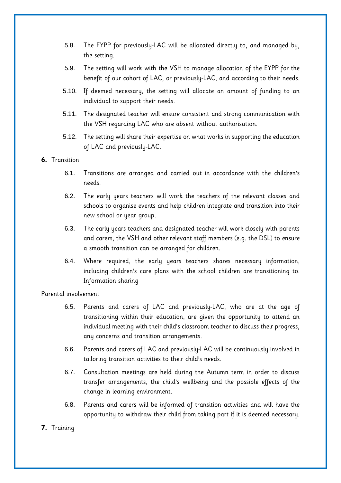- 5.8. The EYPP for previously-LAC will be allocated directly to, and managed by, the setting.
- 5.9. The setting will work with the VSH to manage allocation of the EYPP for the benefit of our cohort of LAC, or previously-LAC, and according to their needs.
- 5.10. If deemed necessary, the setting will allocate an amount of funding to an individual to support their needs.
- 5.11. The designated teacher will ensure consistent and strong communication with the VSH regarding LAC who are absent without authorisation.
- 5.12. The setting will share their expertise on what works in supporting the education of LAC and previously-LAC.
- <span id="page-9-0"></span>**6.** Transition
	- 6.1. Transitions are arranged and carried out in accordance with the children's needs.
	- 6.2. The early years teachers will work the teachers of the relevant classes and schools to organise events and help children integrate and transition into their new school or year group.
	- 6.3. The early years teachers and designated teacher will work closely with parents and carers, the VSH and other relevant staff members (e.g. the DSL) to ensure a smooth transition can be arranged for children.
	- 6.4. Where required, the early years teachers shares necessary information, including children's care plans with the school children are transitioning to. Information sharing

Parental involvement

- 6.5. Parents and carers of LAC and previously-LAC, who are at the age of transitioning within their education, are given the opportunity to attend an individual meeting with their child's classroom teacher to discuss their progress, any concerns and transition arrangements.
- 6.6. Parents and carers of LAC and previously-LAC will be continuously involved in tailoring transition activities to their child's needs.
- 6.7. Consultation meetings are held during the Autumn term in order to discuss transfer arrangements, the child's wellbeing and the possible effects of the change in learning environment.
- 6.8. Parents and carers will be informed of transition activities and will have the opportunity to withdraw their child from taking part if it is deemed necessary.

## <span id="page-9-1"></span>**7.** Training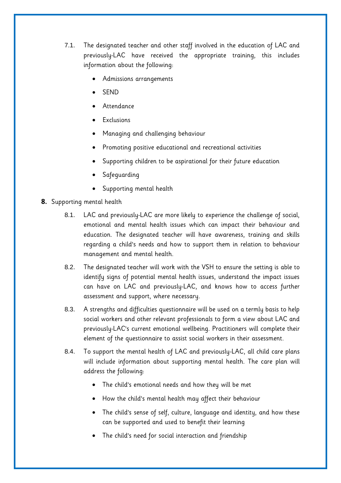- 7.1. The designated teacher and other staff involved in the education of LAC and previously-LAC have received the appropriate training, this includes information about the following:
	- Admissions arrangements
	- SEND
	- Attendance
	- Exclusions
	- Managing and challenging behaviour
	- Promoting positive educational and recreational activities
	- Supporting children to be aspirational for their future education
	- Safeguarding
	- Supporting mental health
- <span id="page-10-0"></span>**8.** Supporting mental health
	- 8.1. LAC and previously-LAC are more likely to experience the challenge of social, emotional and mental health issues which can impact their behaviour and education. The designated teacher will have awareness, training and skills regarding a child's needs and how to support them in relation to behaviour management and mental health.
	- 8.2. The designated teacher will work with the VSH to ensure the setting is able to identify signs of potential mental health issues, understand the impact issues can have on LAC and previously-LAC, and knows how to access further assessment and support, where necessary.
	- 8.3. A strengths and difficulties questionnaire will be used on a termly basis to help social workers and other relevant professionals to form a view about LAC and previously-LAC's current emotional wellbeing. Practitioners will complete their element of the questionnaire to assist social workers in their assessment.
	- 8.4. To support the mental health of LAC and previously-LAC, all child care plans will include information about supporting mental health. The care plan will address the following:
		- The child's emotional needs and how they will be met
		- How the child's mental health may affect their behaviour
		- The child's sense of self, culture, language and identity, and how these can be supported and used to benefit their learning
		- The child's need for social interaction and friendship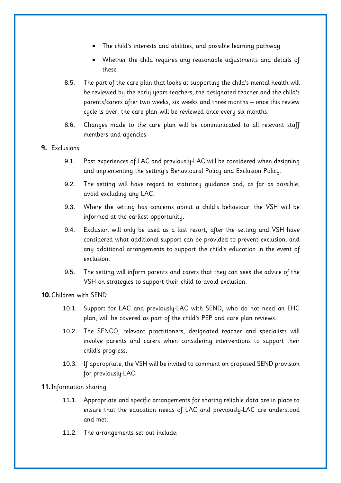- The child's interests and abilities, and possible learning pathway
- Whether the child requires any reasonable adjustments and details of these
- 8.5. The part of the care plan that looks at supporting the child's mental health will be reviewed by the early years teachers, the designated teacher and the child's parents/carers after two weeks, six weeks and three months – once this review cycle is over, the care plan will be reviewed once every six months.
- 8.6. Changes made to the care plan will be communicated to all relevant staff members and agencies.

#### <span id="page-11-0"></span>**9.** Exclusions

- 9.1. Past experiences of LAC and previously-LAC will be considered when designing and implementing the setting's Behavioural Policy and Exclusion Policy.
- 9.2. The setting will have regard to statutory guidance and, as far as possible, avoid excluding any LAC.
- 9.3. Where the setting has concerns about a child's behaviour, the VSH will be informed at the earliest opportunity.
- 9.4. Exclusion will only be used as a last resort, after the setting and VSH have considered what additional support can be provided to prevent exclusion, and any additional arrangements to support the child's education in the event of exclusion.
- 9.5. The setting will inform parents and carers that they can seek the advice of the VSH on strategies to support their child to avoid exclusion.

<span id="page-11-1"></span>**10.**Children with SEND

- 10.1. Support for LAC and previously-LAC with SEND, who do not need an EHC plan, will be covered as part of the child's PEP and care plan reviews.
- 10.2. The SENCO, relevant practitioners, designated teacher and specialists will involve parents and carers when considering interventions to support their child's progress.
- 10.3. If appropriate, the VSH will be invited to comment on proposed SEND provision for previously-LAC.

<span id="page-11-2"></span>**11.**Information sharing

- 11.1. Appropriate and specific arrangements for sharing reliable data are in place to ensure that the education needs of LAC and previously-LAC are understood and met.
- 11.2. The arrangements set out include: